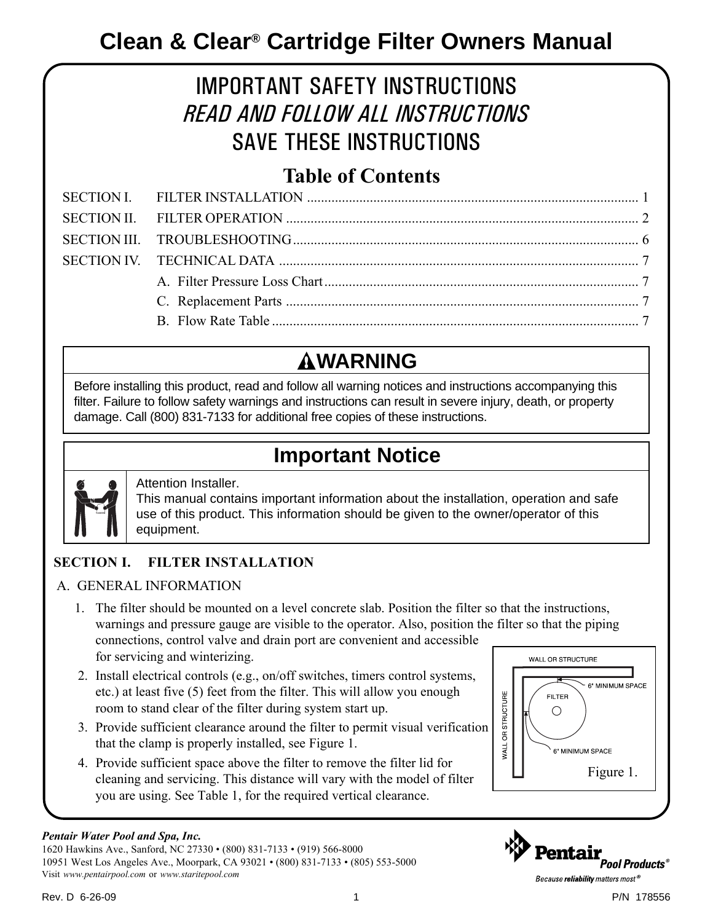# IMPORTANT SAFETY INSTRUCTIONS *READ AND FOLLOW ALL INSTRUCTIONS* SAVE THESE INSTRUCTIONS

### **Table of Contents**

# **WARNING**

Before installing this product, read and follow all warning notices and instructions accompanying this filter. Failure to follow safety warnings and instructions can result in severe injury, death, or property damage. Call (800) 831-7133 for additional free copies of these instructions.

# **Important Notice**



### Attention Installer.

This manual contains important information about the installation, operation and safe use of this product. This information should be given to the owner/operator of this equipment.

### **SECTION I. FILTER INSTALLATION**

### A. GENERAL INFORMATION

- 1. The filter should be mounted on a level concrete slab. Position the filter so that the instructions, warnings and pressure gauge are visible to the operator. Also, position the filter so that the piping connections, control valve and drain port are convenient and accessible for servicing and winterizing. WALL OR STRUCTURE
- 2. Install electrical controls (e.g., on/off switches, timers control systems, etc.) at least five (5) feet from the filter. This will allow you enough room to stand clear of the filter during system start up.
- 3. Provide sufficient clearance around the filter to permit visual verification that the clamp is properly installed, see Figure 1.
- 4. Provide sufficient space above the filter to remove the filter lid for cleaning and servicing. This distance will vary with the model of filter you are using. See Table 1, for the required vertical clearance.

#### *Pentair Water Pool and Spa, Inc.*

1620 Hawkins Ave., Sanford, NC 27330 • (800) 831-7133 • (919) 566-8000 10951 West Los Angeles Ave., Moorpark, CA 93021 • (800) 831-7133 • (805) 553-5000 Visit *www.pentairpool.com* or *www.staritepool.com*



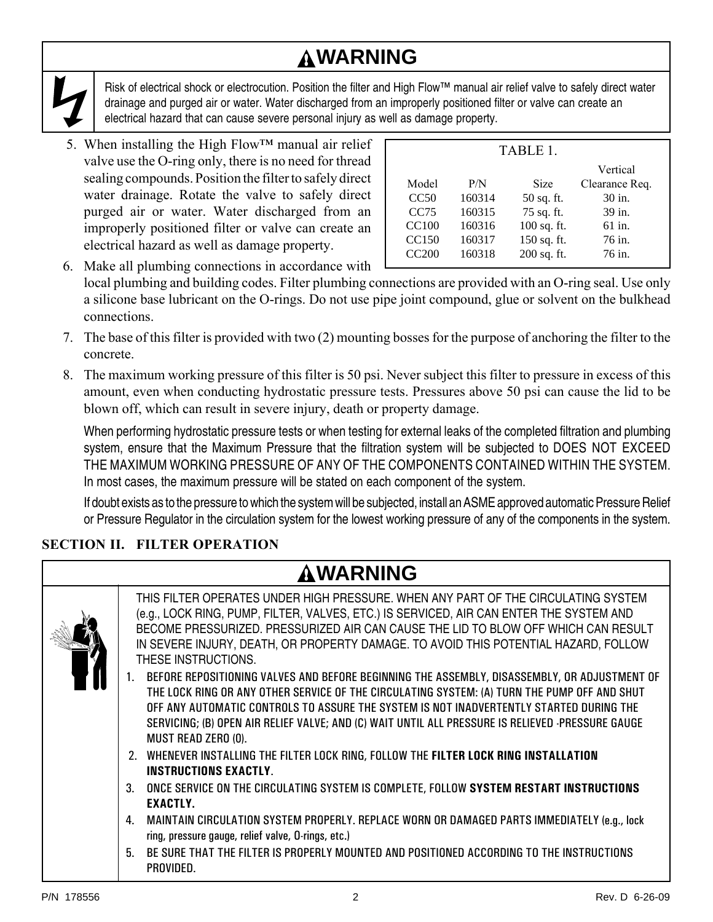# **WARNING**

Risk of electrical shock or electrocution. Position the filter and High Flow™ manual air relief valve to safely direct water drainage and purged air or water. Water discharged from an improperly positioned filter or valve can create an electrical hazard that can cause severe personal injury as well as damage property.

5. When installing the High Flow<sup>TM</sup> manual air relief valve use the O-ring only, there is no need for thread sealing compounds. Position the filter to safely direct water drainage. Rotate the valve to safely direct purged air or water. Water discharged from an improperly positioned filter or valve can create an electrical hazard as well as damage property.

| TABLE 1.          |        |             |                |  |  |
|-------------------|--------|-------------|----------------|--|--|
|                   |        |             | Vertical       |  |  |
| Model             | P/N    | <b>Size</b> | Clearance Req. |  |  |
| CC50              | 160314 | 50 sq. ft.  | 30 in.         |  |  |
| CC75              | 160315 | 75 sq. ft.  | 39 in.         |  |  |
| <b>CC100</b>      | 160316 | 100 sq. ft. | 61 in.         |  |  |
| CC <sub>150</sub> | 160317 | 150 sq. ft. | 76 in.         |  |  |
| <b>CC200</b>      | 160318 | 200 sq. ft. | 76 in.         |  |  |

- 6. Make all plumbing connections in accordance with local plumbing and building codes. Filter plumbing connections are provided with an O-ring seal. Use only a silicone base lubricant on the O-rings. Do not use pipe joint compound, glue or solvent on the bulkhead connections.
- 7. The base of this filter is provided with two (2) mounting bosses for the purpose of anchoring the filter to the concrete.
- 8. The maximum working pressure of this filter is 50 psi. Never subject this filter to pressure in excess of this amount, even when conducting hydrostatic pressure tests. Pressures above 50 psi can cause the lid to be blown off, which can result in severe injury, death or property damage.

When performing hydrostatic pressure tests or when testing for external leaks of the completed filtration and plumbing system, ensure that the Maximum Pressure that the filtration system will be subjected to DOES NOT EXCEED THE MAXIMUM WORKING PRESSURE OF ANY OF THE COMPONENTS CONTAINED WITHIN THE SYSTEM. In most cases, the maximum pressure will be stated on each component of the system.

If doubt exists as to the pressure to which the system will be subjected, install an ASME approved automatic Pressure Relief or Pressure Regulator in the circulation system for the lowest working pressure of any of the components in the system.

### **SECTION II. FILTER OPERATION**

| <b>AWARNING</b>                                                                                                                                                                                                                                                                                                                                                                                                                                                                                                                                                                                                                                                                                                                                                                                                                                                                                                                                                                                                                                                                                                                                   |
|---------------------------------------------------------------------------------------------------------------------------------------------------------------------------------------------------------------------------------------------------------------------------------------------------------------------------------------------------------------------------------------------------------------------------------------------------------------------------------------------------------------------------------------------------------------------------------------------------------------------------------------------------------------------------------------------------------------------------------------------------------------------------------------------------------------------------------------------------------------------------------------------------------------------------------------------------------------------------------------------------------------------------------------------------------------------------------------------------------------------------------------------------|
| THIS FILTER OPERATES UNDER HIGH PRESSURE. WHEN ANY PART OF THE CIRCULATING SYSTEM<br>(e.g., LOCK RING, PUMP, FILTER, VALVES, ETC.) IS SERVICED, AIR CAN ENTER THE SYSTEM AND<br>BECOME PRESSURIZED. PRESSURIZED AIR CAN CAUSE THE LID TO BLOW OFF WHICH CAN RESULT<br>IN SEVERE INJURY, DEATH, OR PROPERTY DAMAGE. TO AVOID THIS POTENTIAL HAZARD, FOLLOW<br>THESE INSTRUCTIONS.<br>BEFORE REPOSITIONING VALVES AND BEFORE BEGINNING THE ASSEMBLY, DISASSEMBLY, OR ADJUSTMENT OF<br>THE LOCK RING OR ANY OTHER SERVICE OF THE CIRCULATING SYSTEM: (A) TURN THE PUMP OFF AND SHUT<br>OFF ANY AUTOMATIC CONTROLS TO ASSURE THE SYSTEM IS NOT INADVERTENTLY STARTED DURING THE<br>SERVICING; (B) OPEN AIR RELIEF VALVE; AND (C) WAIT UNTIL ALL PRESSURE IS RELIEVED -PRESSURE GAUGE<br>MUST READ ZERO (0).<br>2. WHENEVER INSTALLING THE FILTER LOCK RING, FOLLOW THE FILTER LOCK RING INSTALLATION<br><b>INSTRUCTIONS EXACTLY.</b><br>ONCE SERVICE ON THE CIRCULATING SYSTEM IS COMPLETE, FOLLOW SYSTEM RESTART INSTRUCTIONS<br><b>EXACTLY.</b><br>MAINTAIN CIRCULATION SYSTEM PROPERLY. REPLACE WORN OR DAMAGED PARTS IMMEDIATELY (e.g., lock<br>4 |
| ring, pressure gauge, relief valve, O-rings, etc.)<br>5.<br>BE SURE THAT THE FILTER IS PROPERLY MOUNTED AND POSITIONED ACCORDING TO THE INSTRUCTIONS                                                                                                                                                                                                                                                                                                                                                                                                                                                                                                                                                                                                                                                                                                                                                                                                                                                                                                                                                                                              |
| PROVIDED.                                                                                                                                                                                                                                                                                                                                                                                                                                                                                                                                                                                                                                                                                                                                                                                                                                                                                                                                                                                                                                                                                                                                         |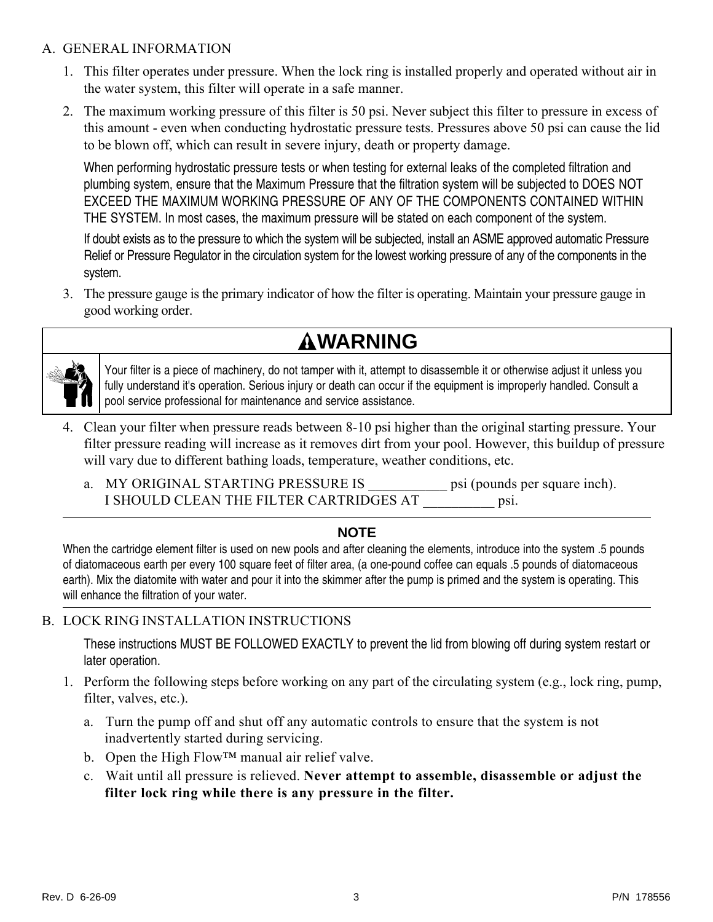#### A. GENERAL INFORMATION

- 1. This filter operates under pressure. When the lock ring is installed properly and operated without air in the water system, this filter will operate in a safe manner.
- 2. The maximum working pressure of this filter is 50 psi. Never subject this filter to pressure in excess of this amount - even when conducting hydrostatic pressure tests. Pressures above 50 psi can cause the lid to be blown off, which can result in severe injury, death or property damage.

When performing hydrostatic pressure tests or when testing for external leaks of the completed filtration and plumbing system, ensure that the Maximum Pressure that the filtration system will be subjected to DOES NOT EXCEED THE MAXIMUM WORKING PRESSURE OF ANY OF THE COMPONENTS CONTAINED WITHIN THE SYSTEM. In most cases, the maximum pressure will be stated on each component of the system.

If doubt exists as to the pressure to which the system will be subjected, install an ASME approved automatic Pressure Relief or Pressure Regulator in the circulation system for the lowest working pressure of any of the components in the system.

3. The pressure gauge is the primary indicator of how the filter is operating. Maintain your pressure gauge in good working order.





Your filter is a piece of machinery, do not tamper with it, attempt to disassemble it or otherwise adjust it unless you fully understand it's operation. Serious injury or death can occur if the equipment is improperly handled. Consult a pool service professional for maintenance and service assistance.

- 4. Clean your filter when pressure reads between 8-10 psi higher than the original starting pressure. Your filter pressure reading will increase as it removes dirt from your pool. However, this buildup of pressure will vary due to different bathing loads, temperature, weather conditions, etc.
	- a. MY ORIGINAL STARTING PRESSURE IS \_\_\_\_\_\_\_\_\_\_\_ psi (pounds per square inch). I SHOULD CLEAN THE FILTER CARTRIDGES AT \_\_\_\_\_\_\_\_\_\_ psi.

### **NOTE**

When the cartridge element filter is used on new pools and after cleaning the elements, introduce into the system .5 pounds of diatomaceous earth per every 100 square feet of filter area, (a one-pound coffee can equals .5 pounds of diatomaceous earth). Mix the diatomite with water and pour it into the skimmer after the pump is primed and the system is operating. This will enhance the filtration of your water.

### B. LOCK RING INSTALLATION INSTRUCTIONS

These instructions MUST BE FOLLOWED EXACTLY to prevent the lid from blowing off during system restart or later operation.

- 1. Perform the following steps before working on any part of the circulating system (e.g., lock ring, pump, filter, valves, etc.).
	- a. Turn the pump off and shut off any automatic controls to ensure that the system is not inadvertently started during servicing.
	- b. Open the High Flow™ manual air relief valve.
	- c. Wait until all pressure is relieved. **Never attempt to assemble, disassemble or adjust the filter lock ring while there is any pressure in the filter.**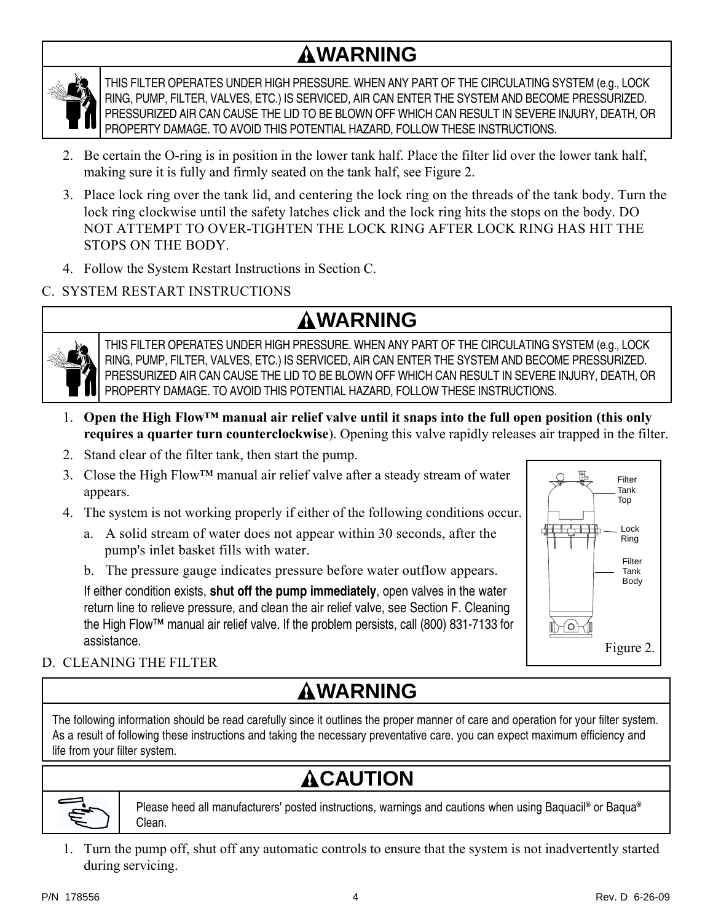# **WARNING**



THIS FILTER OPERATES UNDER HIGH PRESSURE. WHEN ANY PART OF THE CIRCULATING SYSTEM (e.g., LOCK RING, PUMP, FILTER, VALVES, ETC.) IS SERVICED, AIR CAN ENTER THE SYSTEM AND BECOME PRESSURIZED. PRESSURIZED AIR CAN CAUSE THE LID TO BE BLOWN OFF WHICH CAN RESULT IN SEVERE INJURY, DEATH, OR PROPERTY DAMAGE. TO AVOID THIS POTENTIAL HAZARD, FOLLOW THESE INSTRUCTIONS.

- 2. Be certain the O-ring is in position in the lower tank half. Place the filter lid over the lower tank half, making sure it is fully and firmly seated on the tank half, see Figure 2.
- 3. Place lock ring over the tank lid, and centering the lock ring on the threads of the tank body. Turn the lock ring clockwise until the safety latches click and the lock ring hits the stops on the body. DO NOT ATTEMPT TO OVER-TIGHTEN THE LOCK RING AFTER LOCK RING HAS HIT THE STOPS ON THE BODY.
- 4. Follow the System Restart Instructions in Section C.

### C. SYSTEM RESTART INSTRUCTIONS

# **WARNING**



THIS FILTER OPERATES UNDER HIGH PRESSURE. WHEN ANY PART OF THE CIRCULATING SYSTEM (e.g., LOCK RING, PUMP, FILTER, VALVES, ETC.) IS SERVICED, AIR CAN ENTER THE SYSTEM AND BECOME PRESSURIZED. PRESSURIZED AIR CAN CAUSE THE LID TO BE BLOWN OFF WHICH CAN RESULT IN SEVERE INJURY, DEATH, OR PROPERTY DAMAGE. TO AVOID THIS POTENTIAL HAZARD, FOLLOW THESE INSTRUCTIONS.

- 1. **Open the High Flow™ manual air relief valve until it snaps into the full open position (this only requires a quarter turn counterclockwise**). Opening this valve rapidly releases air trapped in the filter.
- 2. Stand clear of the filter tank, then start the pump.
- 3. Close the High Flow™ manual air relief valve after a steady stream of water appears.
- 4. The system is not working properly if either of the following conditions occur.
	- a. A solid stream of water does not appear within 30 seconds, after the pump's inlet basket fills with water.
	- b. The pressure gauge indicates pressure before water outflow appears.

If either condition exists, **shut off the pump immediately**, open valves in the water return line to relieve pressure, and clean the air relief valve, see Section F. Cleaning the High Flow™ manual air relief valve. If the problem persists, call (800) 831-7133 for assistance.



### D. CLEANING THE FILTER

# **WARNING**

The following information should be read carefully since it outlines the proper manner of care and operation for your filter system. As a result of following these instructions and taking the necessary preventative care, you can expect maximum efficiency and life from your filter system.

# **ACAUTION**



Please heed all manufacturers' posted instructions, warnings and cautions when using Baquacil<sup>®</sup> or Baqua<sup>®</sup> Clean.

1. Turn the pump off, shut off any automatic controls to ensure that the system is not inadvertently started during servicing.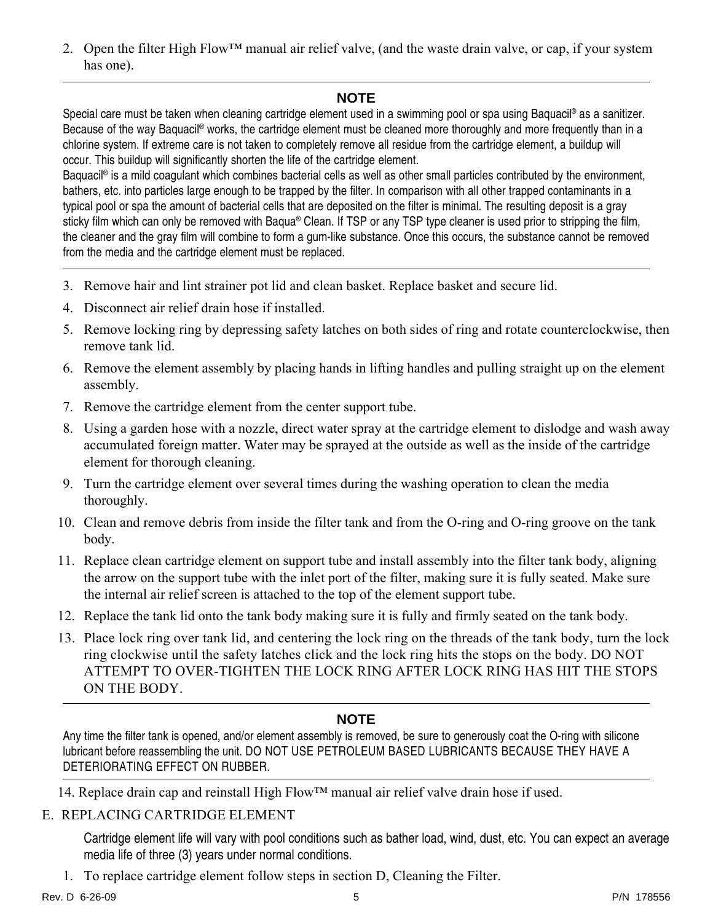2. Open the filter High Flow™ manual air relief valve, (and the waste drain valve, or cap, if your system has one).

### **NOTE**

Special care must be taken when cleaning cartridge element used in a swimming pool or spa using Baquacil® as a sanitizer. Because of the way Baquacil® works, the cartridge element must be cleaned more thoroughly and more frequently than in a chlorine system. If extreme care is not taken to completely remove all residue from the cartridge element, a buildup will occur. This buildup will significantly shorten the life of the cartridge element.

Baquacil<sup>®</sup> is a mild coagulant which combines bacterial cells as well as other small particles contributed by the environment, bathers, etc. into particles large enough to be trapped by the filter. In comparison with all other trapped contaminants in a typical pool or spa the amount of bacterial cells that are deposited on the filter is minimal. The resulting deposit is a gray sticky film which can only be removed with Baqua® Clean. If TSP or any TSP type cleaner is used prior to stripping the film, the cleaner and the gray film will combine to form a gum-like substance. Once this occurs, the substance cannot be removed from the media and the cartridge element must be replaced.

- 3. Remove hair and lint strainer pot lid and clean basket. Replace basket and secure lid.
- 4. Disconnect air relief drain hose if installed.
- 5. Remove locking ring by depressing safety latches on both sides of ring and rotate counterclockwise, then remove tank lid.
- 6. Remove the element assembly by placing hands in lifting handles and pulling straight up on the element assembly.
- 7. Remove the cartridge element from the center support tube.
- 8. Using a garden hose with a nozzle, direct water spray at the cartridge element to dislodge and wash away accumulated foreign matter. Water may be sprayed at the outside as well as the inside of the cartridge element for thorough cleaning.
- 9. Turn the cartridge element over several times during the washing operation to clean the media thoroughly.
- 10. Clean and remove debris from inside the filter tank and from the O-ring and O-ring groove on the tank body.
- 11. Replace clean cartridge element on support tube and install assembly into the filter tank body, aligning the arrow on the support tube with the inlet port of the filter, making sure it is fully seated. Make sure the internal air relief screen is attached to the top of the element support tube.
- 12. Replace the tank lid onto the tank body making sure it is fully and firmly seated on the tank body.
- 13. Place lock ring over tank lid, and centering the lock ring on the threads of the tank body, turn the lock ring clockwise until the safety latches click and the lock ring hits the stops on the body. DO NOT ATTEMPT TO OVER-TIGHTEN THE LOCK RING AFTER LOCK RING HAS HIT THE STOPS ON THE BODY.

### **NOTE**

Any time the filter tank is opened, and/or element assembly is removed, be sure to generously coat the O-ring with silicone lubricant before reassembling the unit. DO NOT USE PETROLEUM BASED LUBRICANTS BECAUSE THEY HAVE A DETERIORATING EFFECT ON RUBBER.

14. Replace drain cap and reinstall High Flow™ manual air relief valve drain hose if used.

#### E. REPLACING CARTRIDGE ELEMENT

Cartridge element life will vary with pool conditions such as bather load, wind, dust, etc. You can expect an average media life of three (3) years under normal conditions.

1. To replace cartridge element follow steps in section D, Cleaning the Filter.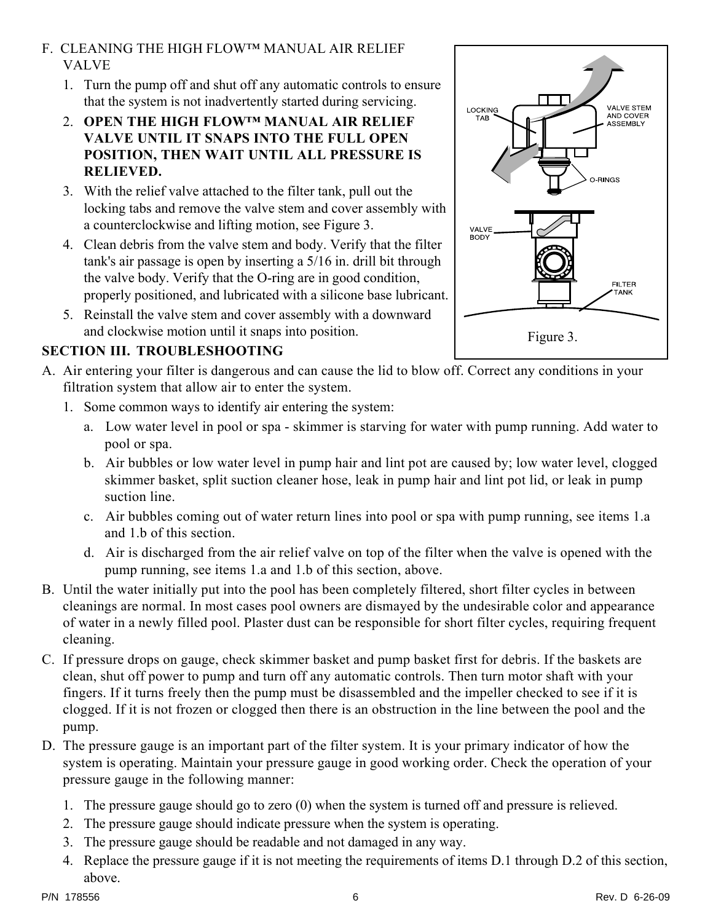### F. CLEANING THE HIGH FLOW™ MANUAL AIR RELIEF VALVE

- 1. Turn the pump off and shut off any automatic controls to ensure that the system is not inadvertently started during servicing.
- 2. **OPEN THE HIGH FLOW™ MANUAL AIR RELIEF VALVE UNTIL IT SNAPS INTO THE FULL OPEN POSITION, THEN WAIT UNTIL ALL PRESSURE IS RELIEVED.**
- 3. With the relief valve attached to the filter tank, pull out the locking tabs and remove the valve stem and cover assembly with a counterclockwise and lifting motion, see Figure 3.
- 4. Clean debris from the valve stem and body. Verify that the filter tank's air passage is open by inserting a 5/16 in. drill bit through the valve body. Verify that the O-ring are in good condition, properly positioned, and lubricated with a silicone base lubricant.
- 5. Reinstall the valve stem and cover assembly with a downward and clockwise motion until it snaps into position.

### **SECTION III. TROUBLESHOOTING**

- A. Air entering your filter is dangerous and can cause the lid to blow off. Correct any conditions in your filtration system that allow air to enter the system.
	- 1. Some common ways to identify air entering the system:
		- a. Low water level in pool or spa skimmer is starving for water with pump running. Add water to pool or spa.
		- b. Air bubbles or low water level in pump hair and lint pot are caused by; low water level, clogged skimmer basket, split suction cleaner hose, leak in pump hair and lint pot lid, or leak in pump suction line.
		- c. Air bubbles coming out of water return lines into pool or spa with pump running, see items 1.a and 1.b of this section.
		- d. Air is discharged from the air relief valve on top of the filter when the valve is opened with the pump running, see items 1.a and 1.b of this section, above.
- B. Until the water initially put into the pool has been completely filtered, short filter cycles in between cleanings are normal. In most cases pool owners are dismayed by the undesirable color and appearance of water in a newly filled pool. Plaster dust can be responsible for short filter cycles, requiring frequent cleaning.
- C. If pressure drops on gauge, check skimmer basket and pump basket first for debris. If the baskets are clean, shut off power to pump and turn off any automatic controls. Then turn motor shaft with your fingers. If it turns freely then the pump must be disassembled and the impeller checked to see if it is clogged. If it is not frozen or clogged then there is an obstruction in the line between the pool and the pump.
- D. The pressure gauge is an important part of the filter system. It is your primary indicator of how the system is operating. Maintain your pressure gauge in good working order. Check the operation of your pressure gauge in the following manner:
	- 1. The pressure gauge should go to zero (0) when the system is turned off and pressure is relieved.
	- 2. The pressure gauge should indicate pressure when the system is operating.
	- 3. The pressure gauge should be readable and not damaged in any way.
	- 4. Replace the pressure gauge if it is not meeting the requirements of items D.1 through D.2 of this section, above.



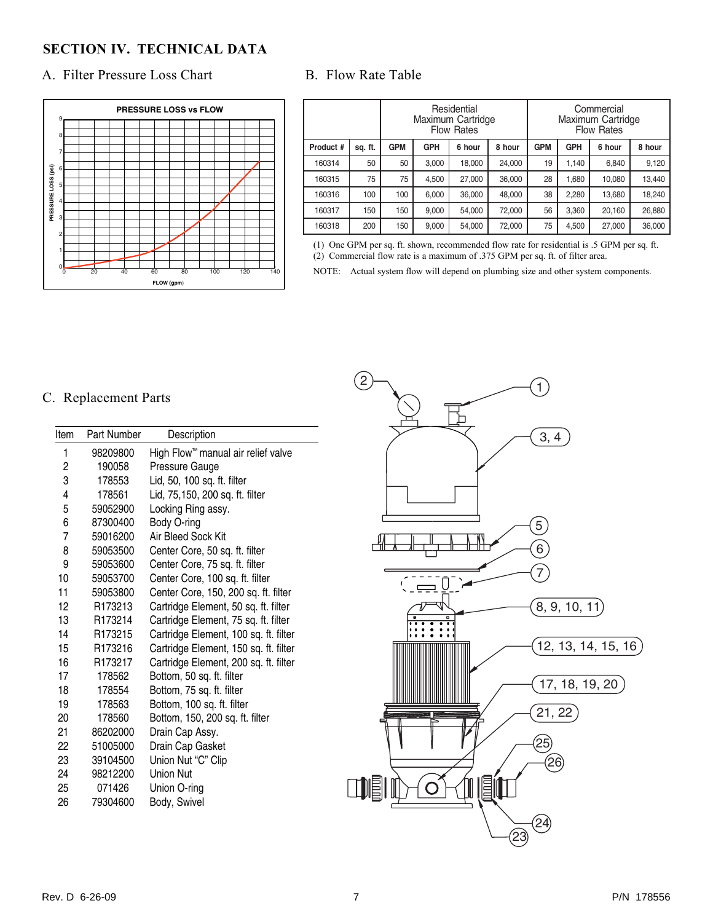### **SECTION IV. TECHNICAL DATA**

#### A. Filter Pressure Loss Chart B. Flow Rate Table



|           | Residential<br>Maximum Cartridge<br><b>Flow Rates</b> |            |            |        | Commercial<br>Maximum Cartridge<br><b>Flow Rates</b> |            |            |        |        |
|-----------|-------------------------------------------------------|------------|------------|--------|------------------------------------------------------|------------|------------|--------|--------|
| Product # | sq. ft.                                               | <b>GPM</b> | <b>GPH</b> | 6 hour | 8 hour                                               | <b>GPM</b> | <b>GPH</b> | 6 hour | 8 hour |
| 160314    | 50                                                    | 50         | 3,000      | 18,000 | 24,000                                               | 19         | 1.140      | 6,840  | 9,120  |
| 160315    | 75                                                    | 75         | 4.500      | 27.000 | 36.000                                               | 28         | 1.680      | 10.080 | 13.440 |
| 160316    | 100                                                   | 100        | 6,000      | 36,000 | 48,000                                               | 38         | 2,280      | 13,680 | 18,240 |
| 160317    | 150                                                   | 150        | 9.000      | 54.000 | 72.000                                               | 56         | 3.360      | 20.160 | 26,880 |
| 160318    | 200                                                   | 150        | 9,000      | 54,000 | 72,000                                               | 75         | 4,500      | 27,000 | 36,000 |

(1) One GPM per sq. ft. shown, recommended flow rate for residential is .5 GPM per sq. ft. (2) Commercial flow rate is a maximum of .375 GPM per sq. ft. of filter area.

NOTE: Actual system flow will depend on plumbing size and other system components.

#### C. Replacement Parts

| Item | Part Number         | Description                           |
|------|---------------------|---------------------------------------|
| 1    | 98209800            | High Flow™ manual air relief valve    |
| 2    | 190058              | Pressure Gauge                        |
| 3    | 178553              | Lid, 50, 100 sq. ft. filter           |
| 4    | 178561              | Lid, 75,150, 200 sq. ft. filter       |
| 5    | 59052900            | Locking Ring assy.                    |
| 6    | 87300400            | Body O-ring                           |
| 7    | 59016200            | Air Bleed Sock Kit                    |
| 8    | 59053500            | Center Core, 50 sq. ft. filter        |
| 9    | 59053600            | Center Core, 75 sq. ft. filter        |
| 10   | 59053700            | Center Core, 100 sq. ft. filter       |
| 11   | 59053800            | Center Core, 150, 200 sq. ft. filter  |
| 12   | R173213             | Cartridge Element, 50 sq. ft. filter  |
| 13   | R <sub>173214</sub> | Cartridge Element, 75 sq. ft. filter  |
| 14   | R <sub>173215</sub> | Cartridge Element, 100 sq. ft. filter |
| 15   | R <sub>173216</sub> | Cartridge Element, 150 sq. ft. filter |
| 16   | R <sub>173217</sub> | Cartridge Element, 200 sq. ft. filter |
| 17   | 178562              | Bottom, 50 sq. ft. filter             |
| 18   | 178554              | Bottom, 75 sq. ft. filter             |
| 19   | 178563              | Bottom, 100 sq. ft. filter            |
| 20   | 178560              | Bottom, 150, 200 sq. ft. filter       |
| 21   | 86202000            | Drain Cap Assy.                       |
| 22   | 51005000            | Drain Cap Gasket                      |
| 23   | 39104500            | Union Nut "C" Clip                    |
| 24   | 98212200            | Union Nut                             |
| 25   | 071426              | Union O-ring                          |
| 26   | 79304600            | Body, Swivel                          |